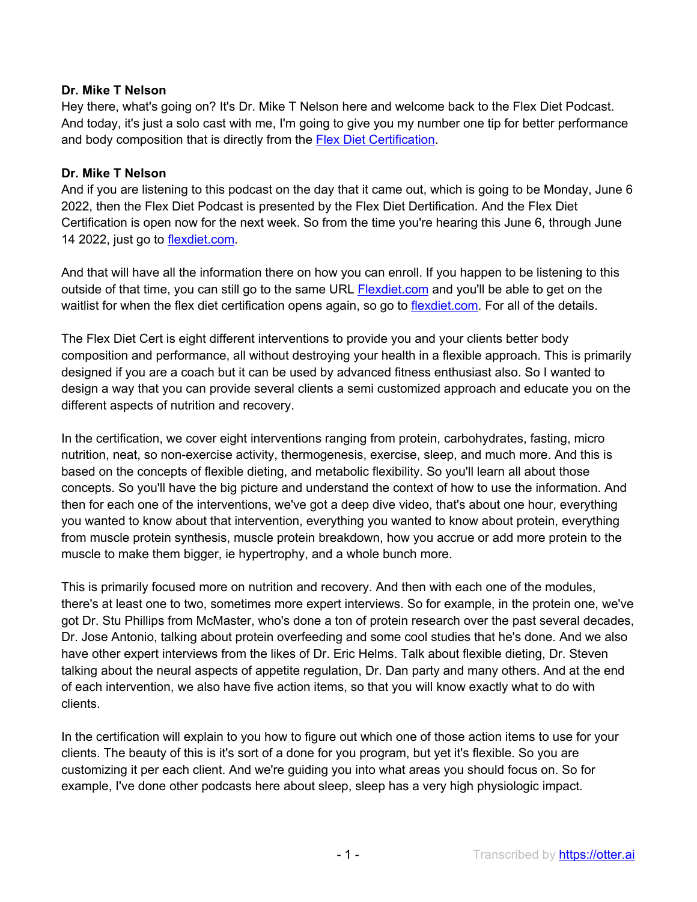## **Dr. Mike T Nelson**

Hey there, what's going on? It's Dr. Mike T Nelson here and welcome back to the Flex Diet Podcast. And today, it's just a solo cast with me, I'm going to give you my number one tip for better performance and body composition that is directly from the Flex Diet Certification.

## **Dr. Mike T Nelson**

And if you are listening to this podcast on the day that it came out, which is going to be Monday, June 6 2022, then the Flex Diet Podcast is presented by the Flex Diet Dertification. And the Flex Diet Certification is open now for the next week. So from the time you're hearing this June 6, through June 14 2022, just go to flexdiet.com.

And that will have all the information there on how you can enroll. If you happen to be listening to this outside of that time, you can still go to the same URL Flexdiet.com and you'll be able to get on the waitlist for when the flex diet certification opens again, so go to flexdiet.com. For all of the details.

The Flex Diet Cert is eight different interventions to provide you and your clients better body composition and performance, all without destroying your health in a flexible approach. This is primarily designed if you are a coach but it can be used by advanced fitness enthusiast also. So I wanted to design a way that you can provide several clients a semi customized approach and educate you on the different aspects of nutrition and recovery.

In the certification, we cover eight interventions ranging from protein, carbohydrates, fasting, micro nutrition, neat, so non-exercise activity, thermogenesis, exercise, sleep, and much more. And this is based on the concepts of flexible dieting, and metabolic flexibility. So you'll learn all about those concepts. So you'll have the big picture and understand the context of how to use the information. And then for each one of the interventions, we've got a deep dive video, that's about one hour, everything you wanted to know about that intervention, everything you wanted to know about protein, everything from muscle protein synthesis, muscle protein breakdown, how you accrue or add more protein to the muscle to make them bigger, ie hypertrophy, and a whole bunch more.

This is primarily focused more on nutrition and recovery. And then with each one of the modules, there's at least one to two, sometimes more expert interviews. So for example, in the protein one, we've got Dr. Stu Phillips from McMaster, who's done a ton of protein research over the past several decades, Dr. Jose Antonio, talking about protein overfeeding and some cool studies that he's done. And we also have other expert interviews from the likes of Dr. Eric Helms. Talk about flexible dieting, Dr. Steven talking about the neural aspects of appetite regulation, Dr. Dan party and many others. And at the end of each intervention, we also have five action items, so that you will know exactly what to do with clients.

In the certification will explain to you how to figure out which one of those action items to use for your clients. The beauty of this is it's sort of a done for you program, but yet it's flexible. So you are customizing it per each client. And we're guiding you into what areas you should focus on. So for example, I've done other podcasts here about sleep, sleep has a very high physiologic impact.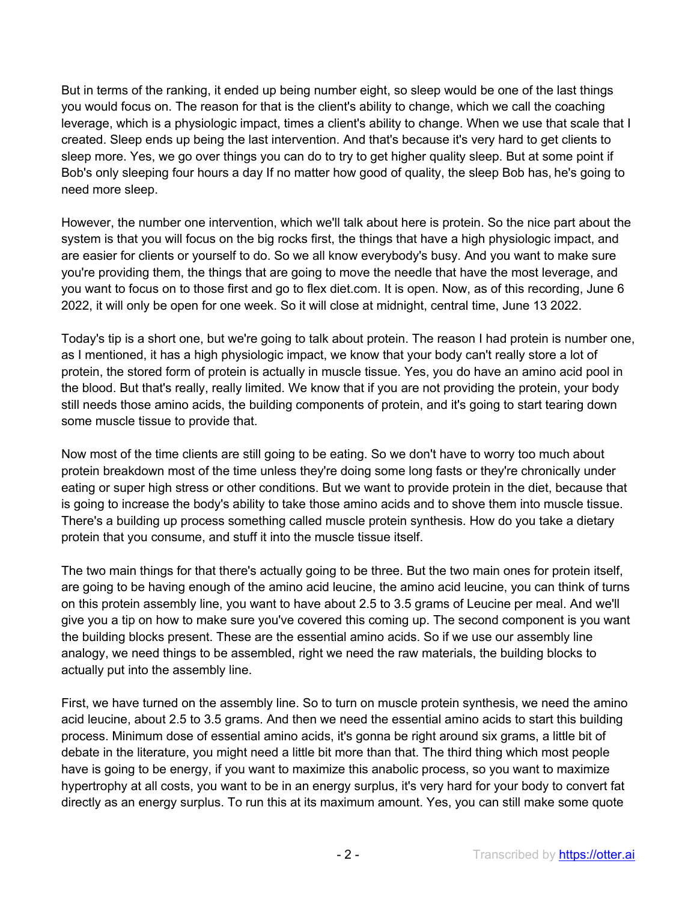But in terms of the ranking, it ended up being number eight, so sleep would be one of the last things you would focus on. The reason for that is the client's ability to change, which we call the coaching leverage, which is a physiologic impact, times a client's ability to change. When we use that scale that I created. Sleep ends up being the last intervention. And that's because it's very hard to get clients to sleep more. Yes, we go over things you can do to try to get higher quality sleep. But at some point if Bob's only sleeping four hours a day If no matter how good of quality, the sleep Bob has, he's going to need more sleep.

However, the number one intervention, which we'll talk about here is protein. So the nice part about the system is that you will focus on the big rocks first, the things that have a high physiologic impact, and are easier for clients or yourself to do. So we all know everybody's busy. And you want to make sure you're providing them, the things that are going to move the needle that have the most leverage, and you want to focus on to those first and go to flex diet.com. It is open. Now, as of this recording, June 6 2022, it will only be open for one week. So it will close at midnight, central time, June 13 2022.

Today's tip is a short one, but we're going to talk about protein. The reason I had protein is number one, as I mentioned, it has a high physiologic impact, we know that your body can't really store a lot of protein, the stored form of protein is actually in muscle tissue. Yes, you do have an amino acid pool in the blood. But that's really, really limited. We know that if you are not providing the protein, your body still needs those amino acids, the building components of protein, and it's going to start tearing down some muscle tissue to provide that.

Now most of the time clients are still going to be eating. So we don't have to worry too much about protein breakdown most of the time unless they're doing some long fasts or they're chronically under eating or super high stress or other conditions. But we want to provide protein in the diet, because that is going to increase the body's ability to take those amino acids and to shove them into muscle tissue. There's a building up process something called muscle protein synthesis. How do you take a dietary protein that you consume, and stuff it into the muscle tissue itself.

The two main things for that there's actually going to be three. But the two main ones for protein itself, are going to be having enough of the amino acid leucine, the amino acid leucine, you can think of turns on this protein assembly line, you want to have about 2.5 to 3.5 grams of Leucine per meal. And we'll give you a tip on how to make sure you've covered this coming up. The second component is you want the building blocks present. These are the essential amino acids. So if we use our assembly line analogy, we need things to be assembled, right we need the raw materials, the building blocks to actually put into the assembly line.

First, we have turned on the assembly line. So to turn on muscle protein synthesis, we need the amino acid leucine, about 2.5 to 3.5 grams. And then we need the essential amino acids to start this building process. Minimum dose of essential amino acids, it's gonna be right around six grams, a little bit of debate in the literature, you might need a little bit more than that. The third thing which most people have is going to be energy, if you want to maximize this anabolic process, so you want to maximize hypertrophy at all costs, you want to be in an energy surplus, it's very hard for your body to convert fat directly as an energy surplus. To run this at its maximum amount. Yes, you can still make some quote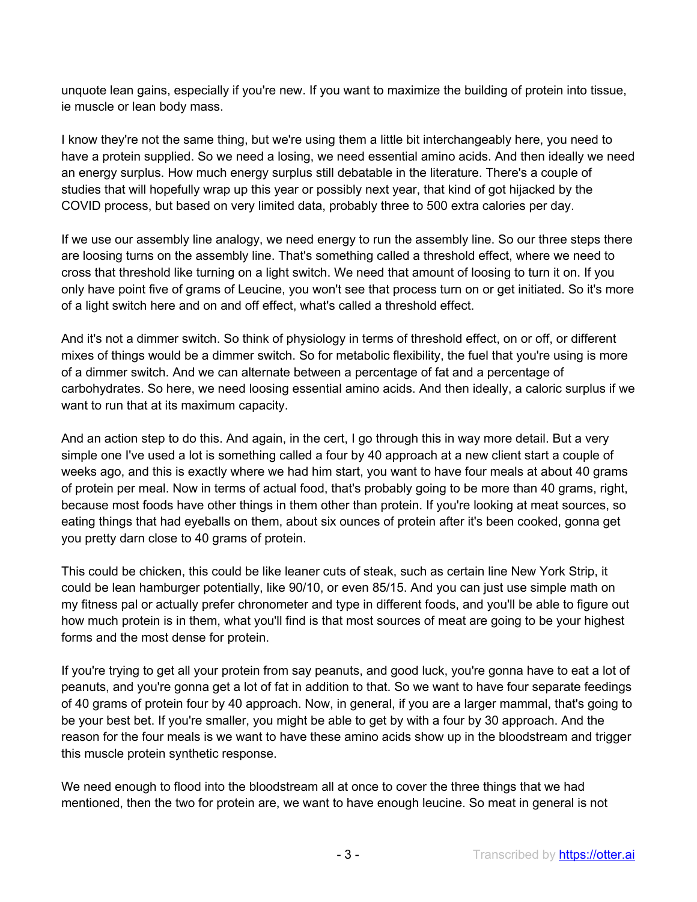unquote lean gains, especially if you're new. If you want to maximize the building of protein into tissue, ie muscle or lean body mass.

I know they're not the same thing, but we're using them a little bit interchangeably here, you need to have a protein supplied. So we need a losing, we need essential amino acids. And then ideally we need an energy surplus. How much energy surplus still debatable in the literature. There's a couple of studies that will hopefully wrap up this year or possibly next year, that kind of got hijacked by the COVID process, but based on very limited data, probably three to 500 extra calories per day.

If we use our assembly line analogy, we need energy to run the assembly line. So our three steps there are loosing turns on the assembly line. That's something called a threshold effect, where we need to cross that threshold like turning on a light switch. We need that amount of loosing to turn it on. If you only have point five of grams of Leucine, you won't see that process turn on or get initiated. So it's more of a light switch here and on and off effect, what's called a threshold effect.

And it's not a dimmer switch. So think of physiology in terms of threshold effect, on or off, or different mixes of things would be a dimmer switch. So for metabolic flexibility, the fuel that you're using is more of a dimmer switch. And we can alternate between a percentage of fat and a percentage of carbohydrates. So here, we need loosing essential amino acids. And then ideally, a caloric surplus if we want to run that at its maximum capacity.

And an action step to do this. And again, in the cert, I go through this in way more detail. But a very simple one I've used a lot is something called a four by 40 approach at a new client start a couple of weeks ago, and this is exactly where we had him start, you want to have four meals at about 40 grams of protein per meal. Now in terms of actual food, that's probably going to be more than 40 grams, right, because most foods have other things in them other than protein. If you're looking at meat sources, so eating things that had eyeballs on them, about six ounces of protein after it's been cooked, gonna get you pretty darn close to 40 grams of protein.

This could be chicken, this could be like leaner cuts of steak, such as certain line New York Strip, it could be lean hamburger potentially, like 90/10, or even 85/15. And you can just use simple math on my fitness pal or actually prefer chronometer and type in different foods, and you'll be able to figure out how much protein is in them, what you'll find is that most sources of meat are going to be your highest forms and the most dense for protein.

If you're trying to get all your protein from say peanuts, and good luck, you're gonna have to eat a lot of peanuts, and you're gonna get a lot of fat in addition to that. So we want to have four separate feedings of 40 grams of protein four by 40 approach. Now, in general, if you are a larger mammal, that's going to be your best bet. If you're smaller, you might be able to get by with a four by 30 approach. And the reason for the four meals is we want to have these amino acids show up in the bloodstream and trigger this muscle protein synthetic response.

We need enough to flood into the bloodstream all at once to cover the three things that we had mentioned, then the two for protein are, we want to have enough leucine. So meat in general is not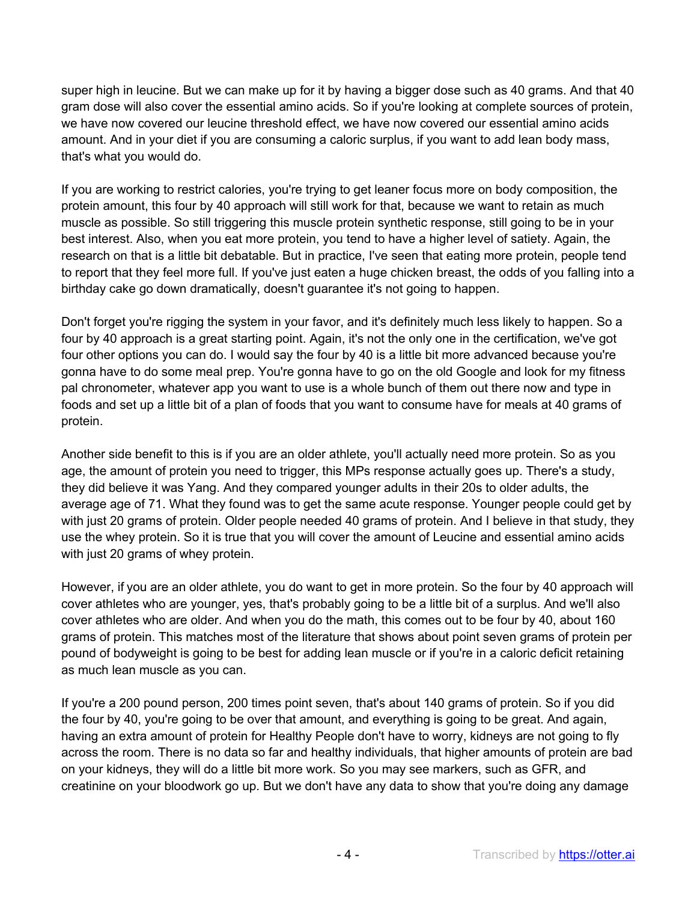super high in leucine. But we can make up for it by having a bigger dose such as 40 grams. And that 40 gram dose will also cover the essential amino acids. So if you're looking at complete sources of protein, we have now covered our leucine threshold effect, we have now covered our essential amino acids amount. And in your diet if you are consuming a caloric surplus, if you want to add lean body mass, that's what you would do.

If you are working to restrict calories, you're trying to get leaner focus more on body composition, the protein amount, this four by 40 approach will still work for that, because we want to retain as much muscle as possible. So still triggering this muscle protein synthetic response, still going to be in your best interest. Also, when you eat more protein, you tend to have a higher level of satiety. Again, the research on that is a little bit debatable. But in practice, I've seen that eating more protein, people tend to report that they feel more full. If you've just eaten a huge chicken breast, the odds of you falling into a birthday cake go down dramatically, doesn't guarantee it's not going to happen.

Don't forget you're rigging the system in your favor, and it's definitely much less likely to happen. So a four by 40 approach is a great starting point. Again, it's not the only one in the certification, we've got four other options you can do. I would say the four by 40 is a little bit more advanced because you're gonna have to do some meal prep. You're gonna have to go on the old Google and look for my fitness pal chronometer, whatever app you want to use is a whole bunch of them out there now and type in foods and set up a little bit of a plan of foods that you want to consume have for meals at 40 grams of protein.

Another side benefit to this is if you are an older athlete, you'll actually need more protein. So as you age, the amount of protein you need to trigger, this MPs response actually goes up. There's a study, they did believe it was Yang. And they compared younger adults in their 20s to older adults, the average age of 71. What they found was to get the same acute response. Younger people could get by with just 20 grams of protein. Older people needed 40 grams of protein. And I believe in that study, they use the whey protein. So it is true that you will cover the amount of Leucine and essential amino acids with just 20 grams of whey protein.

However, if you are an older athlete, you do want to get in more protein. So the four by 40 approach will cover athletes who are younger, yes, that's probably going to be a little bit of a surplus. And we'll also cover athletes who are older. And when you do the math, this comes out to be four by 40, about 160 grams of protein. This matches most of the literature that shows about point seven grams of protein per pound of bodyweight is going to be best for adding lean muscle or if you're in a caloric deficit retaining as much lean muscle as you can.

If you're a 200 pound person, 200 times point seven, that's about 140 grams of protein. So if you did the four by 40, you're going to be over that amount, and everything is going to be great. And again, having an extra amount of protein for Healthy People don't have to worry, kidneys are not going to fly across the room. There is no data so far and healthy individuals, that higher amounts of protein are bad on your kidneys, they will do a little bit more work. So you may see markers, such as GFR, and creatinine on your bloodwork go up. But we don't have any data to show that you're doing any damage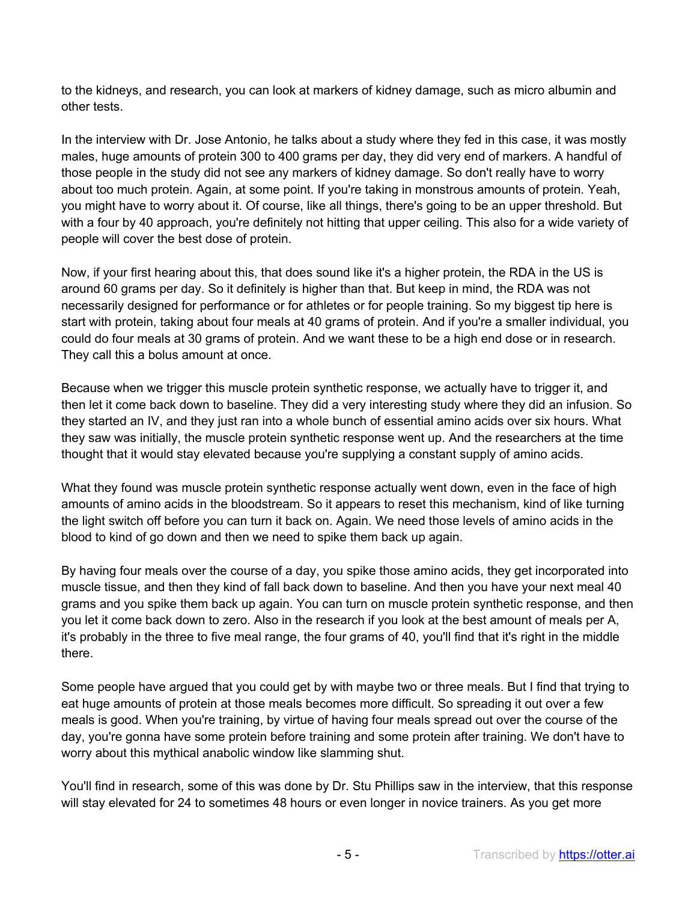to the kidneys, and research, you can look at markers of kidney damage, such as micro albumin and other tests.

In the interview with Dr. Jose Antonio, he talks about a study where they fed in this case, it was mostly males, huge amounts of protein 300 to 400 grams per day, they did very end of markers. A handful of those people in the study did not see any markers of kidney damage. So don't really have to worry about too much protein. Again, at some point. If you're taking in monstrous amounts of protein. Yeah, you might have to worry about it. Of course, like all things, there's going to be an upper threshold. But with a four by 40 approach, you're definitely not hitting that upper ceiling. This also for a wide variety of people will cover the best dose of protein.

Now, if your first hearing about this, that does sound like it's a higher protein, the RDA in the US is around 60 grams per day. So it definitely is higher than that. But keep in mind, the RDA was not necessarily designed for performance or for athletes or for people training. So my biggest tip here is start with protein, taking about four meals at 40 grams of protein. And if you're a smaller individual, you could do four meals at 30 grams of protein. And we want these to be a high end dose or in research. They call this a bolus amount at once.

Because when we trigger this muscle protein synthetic response, we actually have to trigger it, and then let it come back down to baseline. They did a very interesting study where they did an infusion. So they started an IV, and they just ran into a whole bunch of essential amino acids over six hours. What they saw was initially, the muscle protein synthetic response went up. And the researchers at the time thought that it would stay elevated because you're supplying a constant supply of amino acids.

What they found was muscle protein synthetic response actually went down, even in the face of high amounts of amino acids in the bloodstream. So it appears to reset this mechanism, kind of like turning the light switch off before you can turn it back on. Again. We need those levels of amino acids in the blood to kind of go down and then we need to spike them back up again.

By having four meals over the course of a day, you spike those amino acids, they get incorporated into muscle tissue, and then they kind of fall back down to baseline. And then you have your next meal 40 grams and you spike them back up again. You can turn on muscle protein synthetic response, and then you let it come back down to zero. Also in the research if you look at the best amount of meals per A, it's probably in the three to five meal range, the four grams of 40, you'll find that it's right in the middle there.

Some people have argued that you could get by with maybe two or three meals. But I find that trying to eat huge amounts of protein at those meals becomes more difficult. So spreading it out over a few meals is good. When you're training, by virtue of having four meals spread out over the course of the day, you're gonna have some protein before training and some protein after training. We don't have to worry about this mythical anabolic window like slamming shut.

You'll find in research, some of this was done by Dr. Stu Phillips saw in the interview, that this response will stay elevated for 24 to sometimes 48 hours or even longer in novice trainers. As you get more